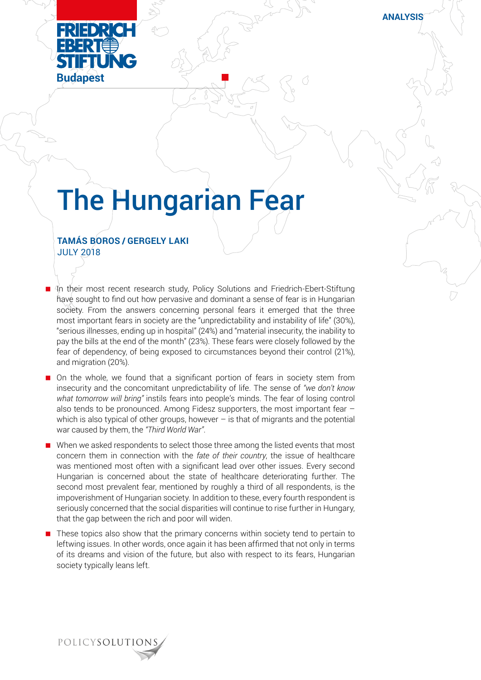

**ANALYSIS**

# The Hungarian Fear

## **TAMÁS BOROS / GERGELY LAKI**  JULY 2018

- In their most recent research study, Policy Solutions and Friedrich-Ebert-Stiftung have sought to find out how pervasive and dominant a sense of fear is in Hungarian society. From the answers concerning personal fears it emerged that the three most important fears in society are the "unpredictability and instability of life" (30%), "serious illnesses, ending up in hospital" (24%) and "material insecurity, the inability to pay the bills at the end of the month" (23%). These fears were closely followed by the fear of dependency, of being exposed to circumstances beyond their control (21%), and migration (20%).
- On the whole, we found that a significant portion of fears in society stem from insecurity and the concomitant unpredictability of life. The sense of *"we don't know what tomorrow will bring"* instils fears into people's minds. The fear of losing control also tends to be pronounced. Among Fidesz supporters, the most important fear – which is also typical of other groups, however  $-$  is that of migrants and the potential war caused by them, the *"Third World War"*.
- When we asked respondents to select those three among the listed events that most concern them in connection with the *fate of their country*, the issue of healthcare was mentioned most often with a significant lead over other issues. Every second Hungarian is concerned about the state of healthcare deteriorating further. The second most prevalent fear, mentioned by roughly a third of all respondents, is the impoverishment of Hungarian society. In addition to these, every fourth respondent is seriously concerned that the social disparities will continue to rise further in Hungary, that the gap between the rich and poor will widen.
- $\blacksquare$  These topics also show that the primary concerns within society tend to pertain to leftwing issues. In other words, once again it has been affirmed that not only in terms of its dreams and vision of the future, but also with respect to its fears, Hungarian society typically leans left.

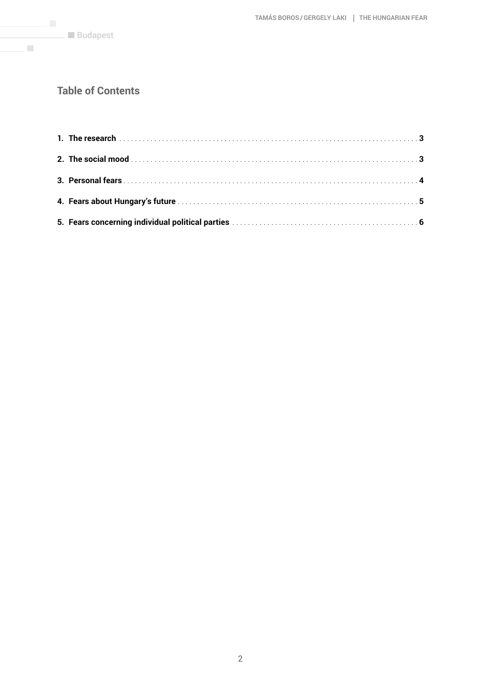$\bar{\phantom{a}}$ 

## **Table of Contents**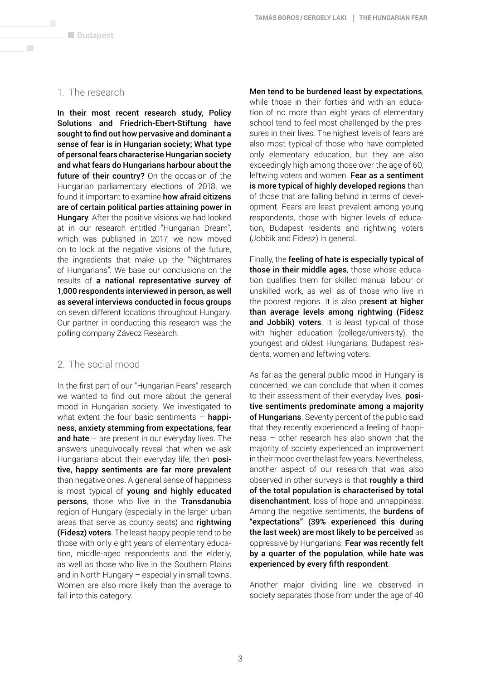<span id="page-2-0"></span>T.

## 1. The research

In their most recent research study, Policy Solutions and Friedrich-Ebert-Stiftung have sought to find out how pervasive and dominant a sense of fear is in Hungarian society; What type of personal fears characterise Hungarian society and what fears do Hungarians harbour about the future of their country? On the occasion of the Hungarian parliamentary elections of 2018, we found it important to examine how afraid citizens are of certain political parties attaining power in Hungary. After the positive visions we had looked at in our research entitled "Hungarian Dream", which was published in 2017, we now moved on to look at the negative visions of the future, the ingredients that make up the "Nightmares of Hungarians". We base our conclusions on the results of a national representative survey of 1,000 respondents interviewed in person, as well as several interviews conducted in focus groups on seven different locations throughout Hungary. Our partner in conducting this research was the polling company Závecz Research.

## 2. The social mood

In the first part of our "Hungarian Fears" research we wanted to find out more about the general mood in Hungarian society. We investigated to what extent the four basic sentiments  $-$  happiness, anxiety stemming from expectations, fear and hate  $-$  are present in our everyday lives. The answers unequivocally reveal that when we ask Hungarians about their everyday life, then positive, happy sentiments are far more prevalent than negative ones. A general sense of happiness is most typical of young and highly educated persons, those who live in the Transdanubia region of Hungary (especially in the larger urban areas that serve as county seats) and rightwing (Fidesz) voters. The least happy people tend to be those with only eight years of elementary education, middle-aged respondents and the elderly, as well as those who live in the Southern Plains and in North Hungary – especially in small towns. Women are also more likely than the average to fall into this category.

#### Men tend to be burdened least by expectations,

while those in their forties and with an education of no more than eight years of elementary school tend to feel most challenged by the pressures in their lives. The highest levels of fears are also most typical of those who have completed only elementary education, but they are also exceedingly high among those over the age of 60, leftwing voters and women. Fear as a sentiment is more typical of highly developed regions than of those that are falling behind in terms of development. Fears are least prevalent among young respondents, those with higher levels of education, Budapest residents and rightwing voters (Jobbik and Fidesz) in general.

Finally, the feeling of hate is especially typical of those in their middle ages, those whose education qualifies them for skilled manual labour or unskilled work, as well as of those who live in the poorest regions. It is also present at higher than average levels among rightwing (Fidesz and Jobbik) voters. It is least typical of those with higher education (college/university), the youngest and oldest Hungarians, Budapest residents, women and leftwing voters.

As far as the general public mood in Hungary is concerned, we can conclude that when it comes to their assessment of their everyday lives, **posi**tive sentiments predominate among a majority of Hungarians. Seventy percent of the public said that they recently experienced a feeling of happiness – other research has also shown that the majority of society experienced an improvement in their mood over the last few years. Nevertheless, another aspect of our research that was also observed in other surveys is that roughly a third of the total population is characterised by total disenchantment, loss of hope and unhappiness. Among the negative sentiments, the **burdens of** "expectations" (39% experienced this during the last week) are most likely to be perceived as oppressive by Hungarians. Fear was recently felt by a quarter of the population, while hate was experienced by every fifth respondent.

Another major dividing line we observed in society separates those from under the age of 40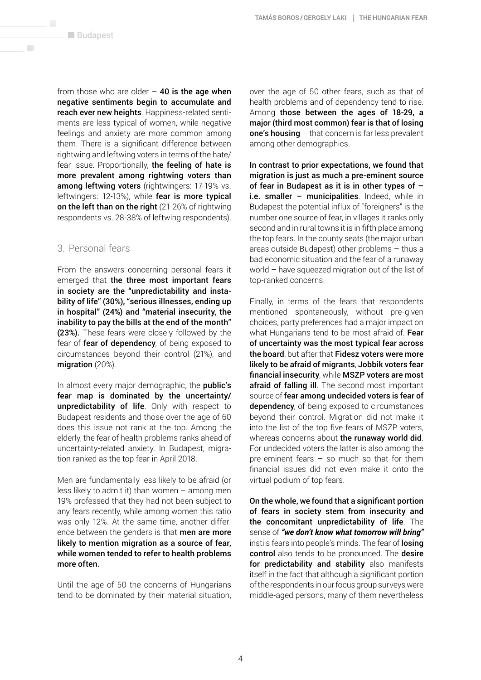<span id="page-3-0"></span> $\overline{\phantom{a}}$ 

from those who are older  $-$  40 is the age when negative sentiments begin to accumulate and reach ever new heights. Happiness-related sentiments are less typical of women, while negative feelings and anxiety are more common among them. There is a significant difference between rightwing and leftwing voters in terms of the hate/ fear issue. Proportionally, the feeling of hate is more prevalent among rightwing voters than among leftwing voters (rightwingers: 17-19% vs. leftwingers: 12-13%), while fear is more typical on the left than on the right (21-26% of rightwing respondents vs. 28-38% of leftwing respondents).

## 3. Personal fears

From the answers concerning personal fears it emerged that the three most important fears in society are the "unpredictability and instability of life" (30%), "serious illnesses, ending up in hospital" (24%) and "material insecurity, the inability to pay the bills at the end of the month" (23%). These fears were closely followed by the fear of fear of dependency, of being exposed to circumstances beyond their control (21%), and migration (20%).

In almost every major demographic, the **public's** fear map is dominated by the uncertainty/ unpredictability of life. Only with respect to Budapest residents and those over the age of 60 does this issue not rank at the top. Among the elderly, the fear of health problems ranks ahead of uncertainty-related anxiety. In Budapest, migration ranked as the top fear in April 2018.

Men are fundamentally less likely to be afraid (or less likely to admit it) than women  $-$  among men 19% professed that they had not been subject to any fears recently, while among women this ratio was only 12%. At the same time, another difference between the genders is that men are more likely to mention migration as a source of fear, while women tended to refer to health problems more often.

Until the age of 50 the concerns of Hungarians tend to be dominated by their material situation, over the age of 50 other fears, such as that of health problems and of dependency tend to rise. Among those between the ages of 18-29, a major (third most common) fear is that of losing one's housing  $-$  that concern is far less prevalent among other demographics.

In contrast to prior expectations, we found that migration is just as much a pre-eminent source of fear in Budapest as it is in other types of – i.e. smaller - municipalities. Indeed, while in Budapest the potential influx of "foreigners" is the number one source of fear, in villages it ranks only second and in rural towns it is in fifth place among the top fears. In the county seats (the major urban areas outside Budapest) other problems – thus a bad economic situation and the fear of a runaway world – have squeezed migration out of the list of top-ranked concerns.

Finally, in terms of the fears that respondents mentioned spontaneously, without pre-given choices, party preferences had a major impact on what Hungarians tend to be most afraid of. Fear of uncertainty was the most typical fear across the board, but after that Fidesz voters were more likely to be afraid of migrants, Jobbik voters fear financial insecurity, while MSZP voters are most afraid of falling ill. The second most important source of fear among undecided voters is fear of dependency, of being exposed to circumstances beyond their control. Migration did not make it into the list of the top five fears of MSZP voters, whereas concerns about the runaway world did. For undecided voters the latter is also among the pre-eminent fears – so much so that for them financial issues did not even make it onto the virtual podium of top fears.

On the whole, we found that a significant portion of fears in society stem from insecurity and the concomitant unpredictability of life. The sense of *"we don't know what tomorrow will bring"* instils fears into people's minds. The fear of losing control also tends to be pronounced. The desire for predictability and stability also manifests itself in the fact that although a significant portion of the respondents in our focus group surveys were middle-aged persons, many of them nevertheless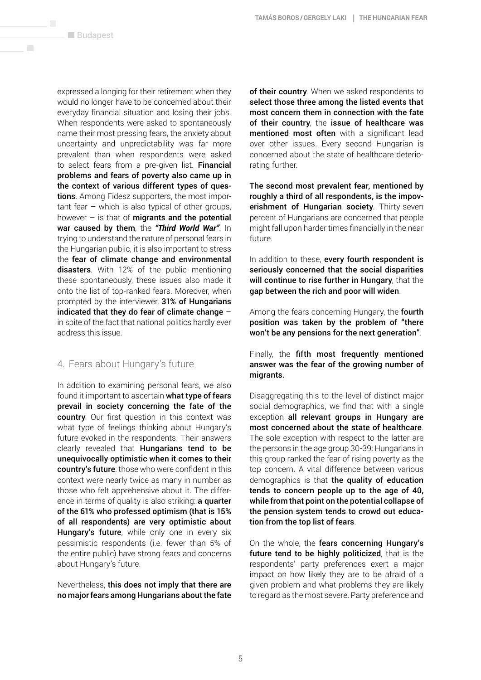<span id="page-4-0"></span> $\overline{\phantom{a}}$ 

expressed a longing for their retirement when they would no longer have to be concerned about their everyday financial situation and losing their jobs. When respondents were asked to spontaneously name their most pressing fears, the anxiety about uncertainty and unpredictability was far more prevalent than when respondents were asked to select fears from a pre-given list. Financial problems and fears of poverty also came up in the context of various different types of questions. Among Fidesz supporters, the most important fear – which is also typical of other groups, however  $-$  is that of migrants and the potential war caused by them, the *"Third World War"*. In trying to understand the nature of personal fears in the Hungarian public, it is also important to stress the fear of climate change and environmental disasters. With 12% of the public mentioning these spontaneously, these issues also made it onto the list of top-ranked fears. Moreover, when prompted by the interviewer, 31% of Hungarians indicated that they do fear of climate change – in spite of the fact that national politics hardly ever address this issue.

## 4. Fears about Hungary's future

In addition to examining personal fears, we also found it important to ascertain what type of fears prevail in society concerning the fate of the country. Our first question in this context was what type of feelings thinking about Hungary's future evoked in the respondents. Their answers clearly revealed that Hungarians tend to be unequivocally optimistic when it comes to their country's future: those who were confident in this context were nearly twice as many in number as those who felt apprehensive about it. The difference in terms of quality is also striking: a quarter of the 61% who professed optimism (that is 15% of all respondents) are very optimistic about Hungary's future, while only one in every six pessimistic respondents (i.e. fewer than 5% of the entire public) have strong fears and concerns about Hungary's future.

Nevertheless, this does not imply that there are no major fears among Hungarians about the fate of their country. When we asked respondents to select those three among the listed events that most concern them in connection with the fate of their country, the issue of healthcare was mentioned most often with a significant lead over other issues. Every second Hungarian is concerned about the state of healthcare deteriorating further.

The second most prevalent fear, mentioned by roughly a third of all respondents, is the impoverishment of Hungarian society. Thirty-seven percent of Hungarians are concerned that people might fall upon harder times financially in the near future.

In addition to these, every fourth respondent is seriously concerned that the social disparities will continue to rise further in Hungary, that the gap between the rich and poor will widen.

Among the fears concerning Hungary, the fourth position was taken by the problem of "there won't be any pensions for the next generation".

Finally, the fifth most frequently mentioned answer was the fear of the growing number of migrants.

Disaggregating this to the level of distinct major social demographics, we find that with a single exception all relevant groups in Hungary are most concerned about the state of healthcare. The sole exception with respect to the latter are the persons in the age group 30-39: Hungarians in this group ranked the fear of rising poverty as the top concern. A vital difference between various demographics is that the quality of education tends to concern people up to the age of 40, while from that point on the potential collapse of the pension system tends to crowd out education from the top list of fears.

On the whole, the fears concerning Hungary's future tend to be highly politicized, that is the respondents' party preferences exert a major impact on how likely they are to be afraid of a given problem and what problems they are likely to regard as the most severe. Party preference and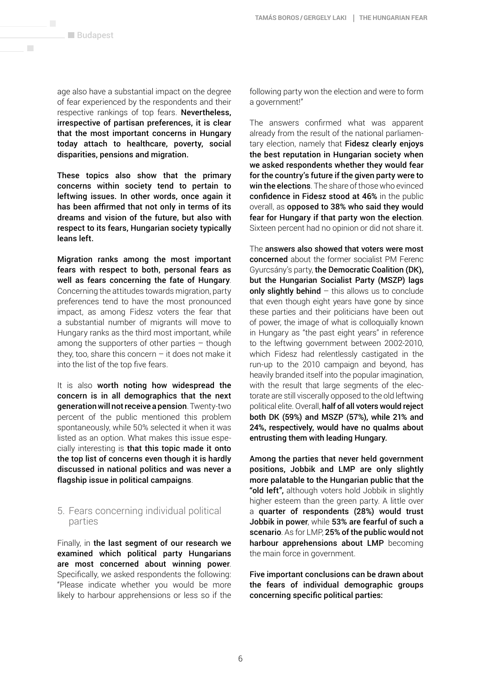<span id="page-5-0"></span> $\overline{\phantom{a}}$ 

age also have a substantial impact on the degree of fear experienced by the respondents and their respective rankings of top fears. Nevertheless. irrespective of partisan preferences, it is clear that the most important concerns in Hungary today attach to healthcare, poverty, social disparities, pensions and migration.

These topics also show that the primary concerns within society tend to pertain to leftwing issues. In other words, once again it has been affirmed that not only in terms of its dreams and vision of the future, but also with respect to its fears, Hungarian society typically leans left.

Migration ranks among the most important fears with respect to both, personal fears as well as fears concerning the fate of Hungary. Concerning the attitudes towards migration, party preferences tend to have the most pronounced impact, as among Fidesz voters the fear that a substantial number of migrants will move to Hungary ranks as the third most important, while among the supporters of other parties – though they, too, share this concern  $-$  it does not make it into the list of the top five fears.

It is also worth noting how widespread the concern is in all demographics that the next generation will not receive a pension. Twenty-two percent of the public mentioned this problem spontaneously, while 50% selected it when it was listed as an option. What makes this issue especially interesting is that this topic made it onto the top list of concerns even though it is hardly discussed in national politics and was never a flagship issue in political campaigns.

## 5. Fears concerning individual political parties

Finally, in the last segment of our research we examined which political party Hungarians are most concerned about winning power. Specifically, we asked respondents the following: "Please indicate whether you would be more likely to harbour apprehensions or less so if the following party won the election and were to form a government!"

The answers confirmed what was apparent already from the result of the national parliamentary election, namely that Fidesz clearly enjoys the best reputation in Hungarian society when we asked respondents whether they would fear for the country's future if the given party were to win the elections. The share of those who evinced confidence in Fidesz stood at 46% in the public overall, as opposed to 38% who said they would fear for Hungary if that party won the election. Sixteen percent had no opinion or did not share it.

The answers also showed that voters were most concerned about the former socialist PM Ferenc Gyurcsány's party, the Democratic Coalition (DK), but the Hungarian Socialist Party (MSZP) lags only slightly behind  $-$  this allows us to conclude that even though eight years have gone by since these parties and their politicians have been out of power, the image of what is colloquially known in Hungary as "the past eight years" in reference to the leftwing government between 2002-2010, which Fidesz had relentlessly castigated in the run-up to the 2010 campaign and beyond, has heavily branded itself into the popular imagination, with the result that large segments of the electorate are still viscerally opposed to the old leftwing political elite. Overall, half of all voters would reject both DK (59%) and MSZP (57%), while 21% and 24%, respectively, would have no qualms about entrusting them with leading Hungary.

Among the parties that never held government positions, Jobbik and LMP are only slightly more palatable to the Hungarian public that the "old left", although voters hold Jobbik in slightly higher esteem than the green party. A little over a quarter of respondents (28%) would trust Jobbik in power, while 53% are fearful of such a scenario. As for LMP, 25% of the public would not harbour apprehensions about LMP becoming the main force in government.

Five important conclusions can be drawn about the fears of individual demographic groups concerning specific political parties: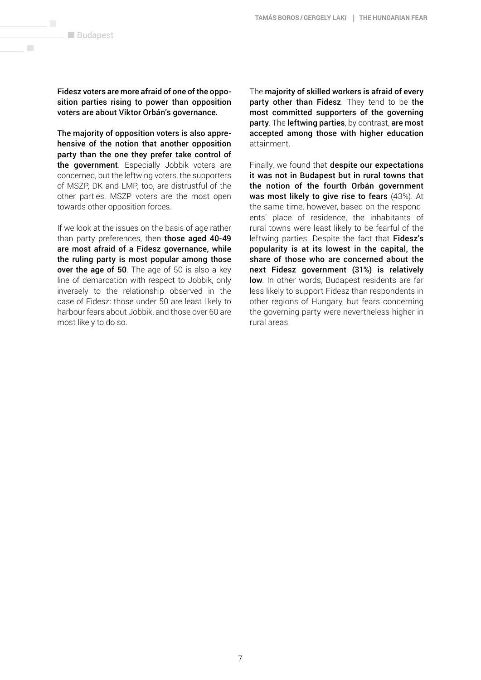$\mathcal{L}_{\mathcal{A}}$ 

Fidesz voters are more afraid of one of the opposition parties rising to power than opposition voters are about Viktor Orbán's governance.

The majority of opposition voters is also apprehensive of the notion that another opposition party than the one they prefer take control of the government. Especially Jobbik voters are concerned, but the leftwing voters, the supporters of MSZP, DK and LMP, too, are distrustful of the other parties. MSZP voters are the most open towards other opposition forces.

If we look at the issues on the basis of age rather than party preferences, then those aged 40-49 are most afraid of a Fidesz governance, while the ruling party is most popular among those over the age of 50. The age of 50 is also a key line of demarcation with respect to Jobbik, only inversely to the relationship observed in the case of Fidesz: those under 50 are least likely to harbour fears about Jobbik, and those over 60 are most likely to do so.

The majority of skilled workers is afraid of every party other than Fidesz. They tend to be the most committed supporters of the governing party. The leftwing parties, by contrast, are most accepted among those with higher education attainment.

Finally, we found that despite our expectations it was not in Budapest but in rural towns that the notion of the fourth Orbán government was most likely to give rise to fears (43%). At the same time, however, based on the respondents' place of residence, the inhabitants of rural towns were least likely to be fearful of the leftwing parties. Despite the fact that Fidesz's popularity is at its lowest in the capital, the share of those who are concerned about the next Fidesz government (31%) is relatively low. In other words, Budapest residents are far less likely to support Fidesz than respondents in other regions of Hungary, but fears concerning the governing party were nevertheless higher in rural areas.